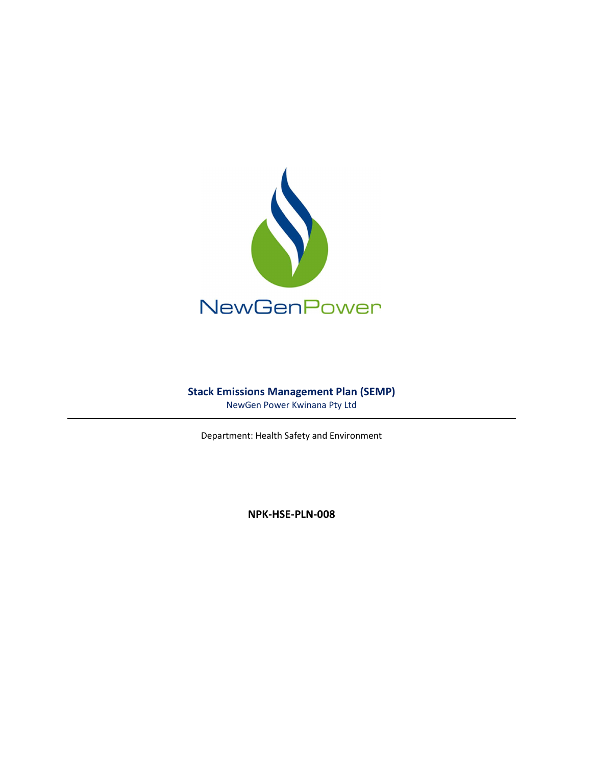

# Stack Emissions Management Plan (SEMP)

NewGen Power Kwinana Pty Ltd

Department: Health Safety and Environment

NPK-HSE-PLN-008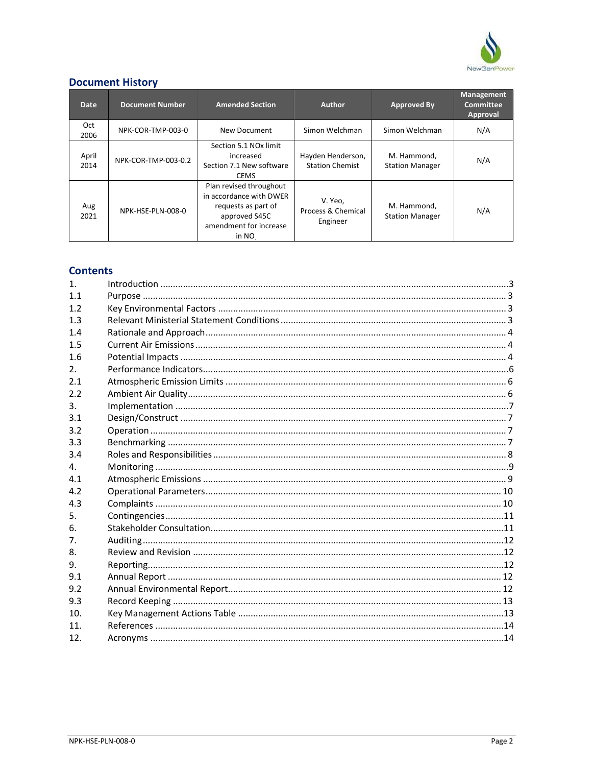

# **Document History**

| Date.         | <b>Document Number</b> | <b>Amended Section</b>                                                                                                        | <b>Author</b>                               | Approved By                           | <b>Management</b><br><b>Committee</b><br>Approval |
|---------------|------------------------|-------------------------------------------------------------------------------------------------------------------------------|---------------------------------------------|---------------------------------------|---------------------------------------------------|
| Oct<br>2006   | NPK-COR-TMP-003-0      | New Document                                                                                                                  | Simon Welchman                              | Simon Welchman                        | N/A                                               |
| April<br>2014 | NPK-COR-TMP-003-0.2    | Section 5.1 NO <sub>x</sub> limit<br>increased<br>Section 7.1 New software<br><b>CEMS</b>                                     | Hayden Henderson,<br><b>Station Chemist</b> | M. Hammond.<br><b>Station Manager</b> | N/A                                               |
| Aug<br>2021   | NPK-HSE-PLN-008-0      | Plan revised throughout<br>in accordance with DWER<br>requests as part of<br>approved S45C<br>amendment for increase<br>in NO | V. Yeo,<br>Process & Chemical<br>Engineer   | M. Hammond,<br><b>Station Manager</b> | N/A                                               |

# **Contents**

| $\mathbf{1}$   |  |
|----------------|--|
| 11             |  |
| 1.2            |  |
| 1.3            |  |
| 1.4            |  |
| 1.5            |  |
| 1.6            |  |
| 2 <sub>1</sub> |  |
| 2.1            |  |
| 2.2            |  |
| 3 <sub>1</sub> |  |
| 3.1            |  |
| 3.2            |  |
| 3.3            |  |
| 3.4            |  |
| $\mathbf{4}$ . |  |
| 4.1            |  |
| 4.2            |  |
| 4.3            |  |
| 5.             |  |
| 6.             |  |
| 7 <sub>1</sub> |  |
| 8.             |  |
| 9.             |  |
| 9.1            |  |
| 9.2            |  |
| 9.3            |  |
| 10.            |  |
| 11             |  |
| 12.            |  |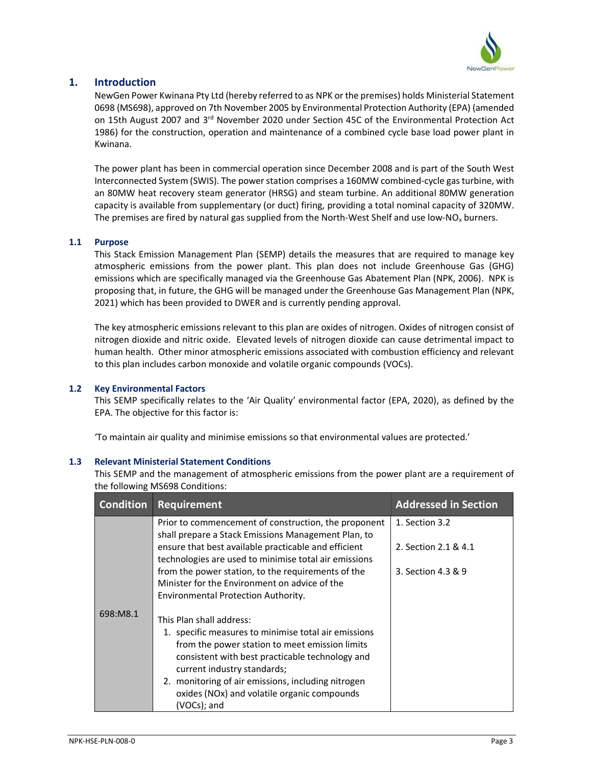

## 1. Introduction

NewGen Power Kwinana Pty Ltd (hereby referred to as NPK or the premises) holds Ministerial Statement 0698 (MS698), approved on 7th November 2005 by Environmental Protection Authority (EPA) (amended on 15th August 2007 and 3<sup>rd</sup> November 2020 under Section 45C of the Environmental Protection Act 1986) for the construction, operation and maintenance of a combined cycle base load power plant in Kwinana.

The power plant has been in commercial operation since December 2008 and is part of the South West Interconnected System (SWIS). The power station comprises a 160MW combined-cycle gas turbine, with an 80MW heat recovery steam generator (HRSG) and steam turbine. An additional 80MW generation capacity is available from supplementary (or duct) firing, providing a total nominal capacity of 320MW. The premises are fired by natural gas supplied from the North-West Shelf and use low-NO<sub>x</sub> burners.

### 1.1 Purpose

This Stack Emission Management Plan (SEMP) details the measures that are required to manage key atmospheric emissions from the power plant. This plan does not include Greenhouse Gas (GHG) emissions which are specifically managed via the Greenhouse Gas Abatement Plan (NPK, 2006). NPK is proposing that, in future, the GHG will be managed under the Greenhouse Gas Management Plan (NPK, 2021) which has been provided to DWER and is currently pending approval.

The key atmospheric emissions relevant to this plan are oxides of nitrogen. Oxides of nitrogen consist of nitrogen dioxide and nitric oxide. Elevated levels of nitrogen dioxide can cause detrimental impact to human health. Other minor atmospheric emissions associated with combustion efficiency and relevant to this plan includes carbon monoxide and volatile organic compounds (VOCs).

### 1.2 Key Environmental Factors

This SEMP specifically relates to the 'Air Quality' environmental factor (EPA, 2020), as defined by the EPA. The objective for this factor is:

'To maintain air quality and minimise emissions so that environmental values are protected.'

### 1.3 Relevant Ministerial Statement Conditions

This SEMP and the management of atmospheric emissions from the power plant are a requirement of the following MS698 Conditions:

| <b>Condition</b> | <b>Requirement</b>                                                                                                                                                                                                                                                                                                                       | <b>Addressed in Section</b> |
|------------------|------------------------------------------------------------------------------------------------------------------------------------------------------------------------------------------------------------------------------------------------------------------------------------------------------------------------------------------|-----------------------------|
|                  | Prior to commencement of construction, the proponent<br>shall prepare a Stack Emissions Management Plan, to                                                                                                                                                                                                                              | 1. Section 3.2              |
|                  | ensure that best available practicable and efficient<br>technologies are used to minimise total air emissions                                                                                                                                                                                                                            | 2. Section 2.1 & 4.1        |
|                  | from the power station, to the requirements of the<br>Minister for the Environment on advice of the<br>Environmental Protection Authority.                                                                                                                                                                                               | 3. Section 4.3 & 9          |
| 698:M8.1         | This Plan shall address:<br>1. specific measures to minimise total air emissions<br>from the power station to meet emission limits<br>consistent with best practicable technology and<br>current industry standards;<br>2. monitoring of air emissions, including nitrogen<br>oxides (NOx) and volatile organic compounds<br>(VOCs); and |                             |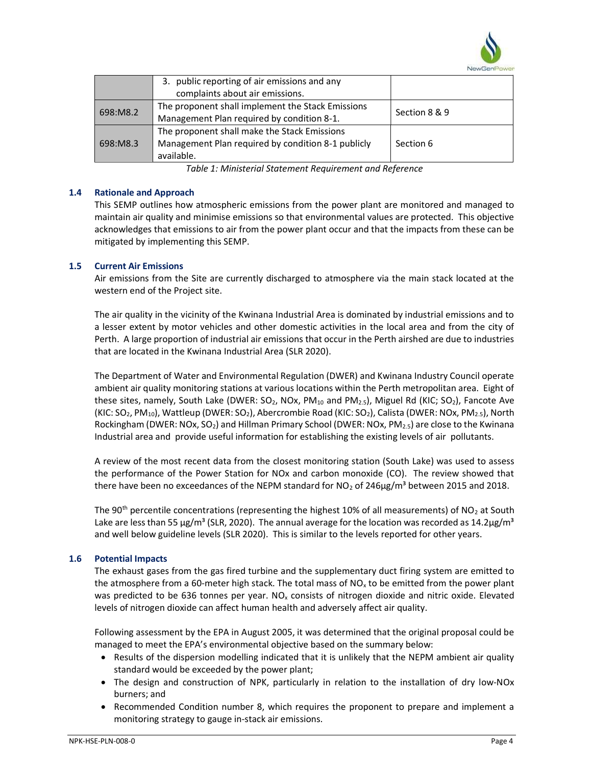

|          | 3. public reporting of air emissions and any       |               |  |
|----------|----------------------------------------------------|---------------|--|
|          | complaints about air emissions.                    |               |  |
| 698:M8.2 | The proponent shall implement the Stack Emissions  | Section 8 & 9 |  |
|          | Management Plan required by condition 8-1.         |               |  |
|          | The proponent shall make the Stack Emissions       |               |  |
| 698:M8.3 | Management Plan required by condition 8-1 publicly | Section 6     |  |
|          | available.                                         |               |  |

Table 1: Ministerial Statement Requirement and Reference

### 1.4 Rationale and Approach

This SEMP outlines how atmospheric emissions from the power plant are monitored and managed to maintain air quality and minimise emissions so that environmental values are protected. This objective acknowledges that emissions to air from the power plant occur and that the impacts from these can be mitigated by implementing this SEMP.

### 1.5 Current Air Emissions

Air emissions from the Site are currently discharged to atmosphere via the main stack located at the western end of the Project site.

The air quality in the vicinity of the Kwinana Industrial Area is dominated by industrial emissions and to a lesser extent by motor vehicles and other domestic activities in the local area and from the city of Perth. A large proportion of industrial air emissions that occur in the Perth airshed are due to industries that are located in the Kwinana Industrial Area (SLR 2020).

The Department of Water and Environmental Regulation (DWER) and Kwinana Industry Council operate ambient air quality monitoring stations at various locations within the Perth metropolitan area. Eight of these sites, namely, South Lake (DWER:  $SO_2$ , NOx, PM<sub>10</sub> and PM<sub>2.5</sub>), Miguel Rd (KIC; SO<sub>2</sub>), Fancote Ave (KIC: SO<sub>2</sub>, PM<sub>10</sub>), Wattleup (DWER: SO<sub>2</sub>), Abercrombie Road (KIC: SO<sub>2</sub>), Calista (DWER: NOx, PM<sub>2.5</sub>), North Rockingham (DWER: NOx, SO<sub>2</sub>) and Hillman Primary School (DWER: NOx, PM<sub>2.5</sub>) are close to the Kwinana Industrial area and provide useful information for establishing the existing levels of air pollutants.

A review of the most recent data from the closest monitoring station (South Lake) was used to assess the performance of the Power Station for NOx and carbon monoxide (CO). The review showed that there have been no exceedances of the NEPM standard for  $NO<sub>2</sub>$  of 246 $\mu$ g/m<sup>3</sup> between 2015 and 2018.

The 90<sup>th</sup> percentile concentrations (representing the highest 10% of all measurements) of NO<sub>2</sub> at South Lake are less than 55  $\mu$ g/m<sup>3</sup> (SLR, 2020). The annual average for the location was recorded as 14.2 $\mu$ g/m<sup>3</sup> and well below guideline levels (SLR 2020). This is similar to the levels reported for other years.

### 1.6 Potential Impacts

The exhaust gases from the gas fired turbine and the supplementary duct firing system are emitted to the atmosphere from a 60-meter high stack. The total mass of  $NO<sub>x</sub>$  to be emitted from the power plant was predicted to be 636 tonnes per year. NO<sub>x</sub> consists of nitrogen dioxide and nitric oxide. Elevated levels of nitrogen dioxide can affect human health and adversely affect air quality.

Following assessment by the EPA in August 2005, it was determined that the original proposal could be managed to meet the EPA's environmental objective based on the summary below:

- Results of the dispersion modelling indicated that it is unlikely that the NEPM ambient air quality standard would be exceeded by the power plant;
- The design and construction of NPK, particularly in relation to the installation of dry low-NOx burners; and
- Recommended Condition number 8, which requires the proponent to prepare and implement a monitoring strategy to gauge in-stack air emissions.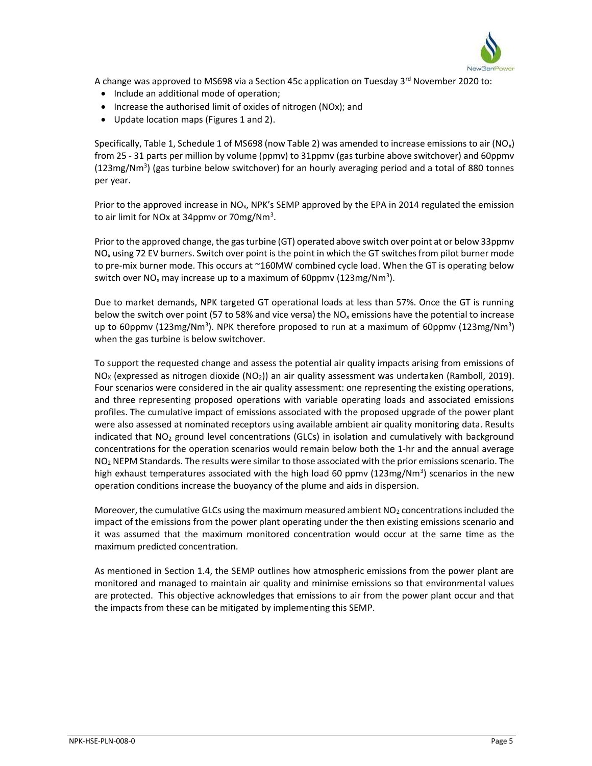

A change was approved to MS698 via a Section 45c application on Tuesday 3<sup>rd</sup> November 2020 to:

- Include an additional mode of operation;
- Increase the authorised limit of oxides of nitrogen (NOx); and
- Update location maps (Figures 1 and 2).

Specifically, Table 1, Schedule 1 of MS698 (now Table 2) was amended to increase emissions to air (NO<sub>x</sub>) from 25 - 31 parts per million by volume (ppmv) to 31ppmv (gas turbine above switchover) and 60ppmv  $(123mg/Nm<sup>3</sup>)$  (gas turbine below switchover) for an hourly averaging period and a total of 880 tonnes per year.

Prior to the approved increase in  $NO<sub>x</sub>$ , NPK's SEMP approved by the EPA in 2014 regulated the emission to air limit for NOx at 34ppmv or 70mg/Nm<sup>3</sup>.

Prior to the approved change, the gas turbine (GT) operated above switch over point at or below 33ppmv  $NO<sub>x</sub>$  using 72 EV burners. Switch over point is the point in which the GT switches from pilot burner mode to pre-mix burner mode. This occurs at ~160MW combined cycle load. When the GT is operating below switch over NO<sub>x</sub> may increase up to a maximum of 60ppmv (123mg/Nm<sup>3</sup>).

Due to market demands, NPK targeted GT operational loads at less than 57%. Once the GT is running below the switch over point (57 to 58% and vice versa) the  $NO<sub>x</sub>$  emissions have the potential to increase up to 60ppmv (123mg/Nm<sup>3</sup>). NPK therefore proposed to run at a maximum of 60ppmv (123mg/Nm<sup>3</sup>) when the gas turbine is below switchover.

To support the requested change and assess the potential air quality impacts arising from emissions of  $N_{\text{O}_X}$  (expressed as nitrogen dioxide (NO<sub>2</sub>)) an air quality assessment was undertaken (Ramboll, 2019). Four scenarios were considered in the air quality assessment: one representing the existing operations, and three representing proposed operations with variable operating loads and associated emissions profiles. The cumulative impact of emissions associated with the proposed upgrade of the power plant were also assessed at nominated receptors using available ambient air quality monitoring data. Results indicated that  $NO<sub>2</sub>$  ground level concentrations (GLCs) in isolation and cumulatively with background concentrations for the operation scenarios would remain below both the 1-hr and the annual average  $NO<sub>2</sub>$  NEPM Standards. The results were similar to those associated with the prior emissions scenario. The high exhaust temperatures associated with the high load 60 ppmv (123mg/Nm<sup>3</sup>) scenarios in the new operation conditions increase the buoyancy of the plume and aids in dispersion.

Moreover, the cumulative GLCs using the maximum measured ambient  $NO<sub>2</sub>$  concentrations included the impact of the emissions from the power plant operating under the then existing emissions scenario and it was assumed that the maximum monitored concentration would occur at the same time as the maximum predicted concentration.

As mentioned in Section 1.4, the SEMP outlines how atmospheric emissions from the power plant are monitored and managed to maintain air quality and minimise emissions so that environmental values are protected. This objective acknowledges that emissions to air from the power plant occur and that the impacts from these can be mitigated by implementing this SEMP.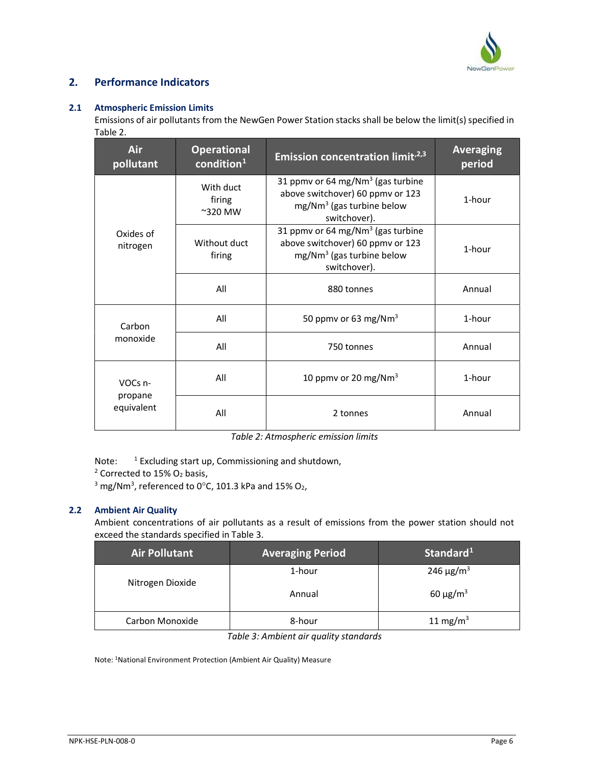

# 2. Performance Indicators

### 2.1 Atmospheric Emission Limits

Emissions of air pollutants from the NewGen Power Station stacks shall be below the limit(s) specified in Table 2.

| Air<br>pollutant      | <b>Operational</b><br>$\text{condition}^1$ | Emission concentration limit <sup>,2,3</sup>                                                                                     | <b>Averaging</b><br>period |
|-----------------------|--------------------------------------------|----------------------------------------------------------------------------------------------------------------------------------|----------------------------|
|                       | With duct<br>firing<br>$\approx$ 320 MW    | 31 ppmv or 64 mg/Nm <sup>3</sup> (gas turbine<br>above switchover) 60 ppmv or 123<br>$mg/Nm3$ (gas turbine below<br>switchover). | 1-hour                     |
| Oxides of<br>nitrogen | Without duct<br>firing                     | 31 ppmv or 64 mg/Nm <sup>3</sup> (gas turbine<br>above switchover) 60 ppmv or 123<br>$mg/Nm3$ (gas turbine below<br>switchover). | 1-hour                     |
|                       | All                                        | 880 tonnes                                                                                                                       | Annual                     |
| Carbon                | All                                        | 50 ppmv or 63 mg/Nm <sup>3</sup>                                                                                                 | 1-hour                     |
| monoxide              | All                                        | 750 tonnes                                                                                                                       | Annual                     |
| VOCs n-               | All                                        | 10 ppmv or 20 mg/Nm <sup>3</sup>                                                                                                 | 1-hour                     |
| propane<br>equivalent | All                                        | 2 tonnes                                                                                                                         | Annual                     |

Table 2: Atmospheric emission limits

Note:  $1$  Excluding start up, Commissioning and shutdown,

<sup>2</sup> Corrected to 15%  $O_2$  basis,

 $3 \text{ mg}/\text{Nm}^3$ , referenced to 0 $\text{°C}$ , 101.3 kPa and 15% O<sub>2</sub>,

## 2.2 Ambient Air Quality

Ambient concentrations of air pollutants as a result of emissions from the power station should not exceed the standards specified in Table 3.

| <b>Air Pollutant</b> | <b>Averaging Period</b> | Standard <sup>1</sup>      |
|----------------------|-------------------------|----------------------------|
| Nitrogen Dioxide     | 1-hour                  | 246 $\mu$ g/m <sup>3</sup> |
|                      | Annual                  | $60 \mu g/m^3$             |
| Carbon Monoxide      | 8-hour                  | 11 mg/m <sup>3</sup>       |

Table 3: Ambient air quality standards

Note: 1National Environment Protection (Ambient Air Quality) Measure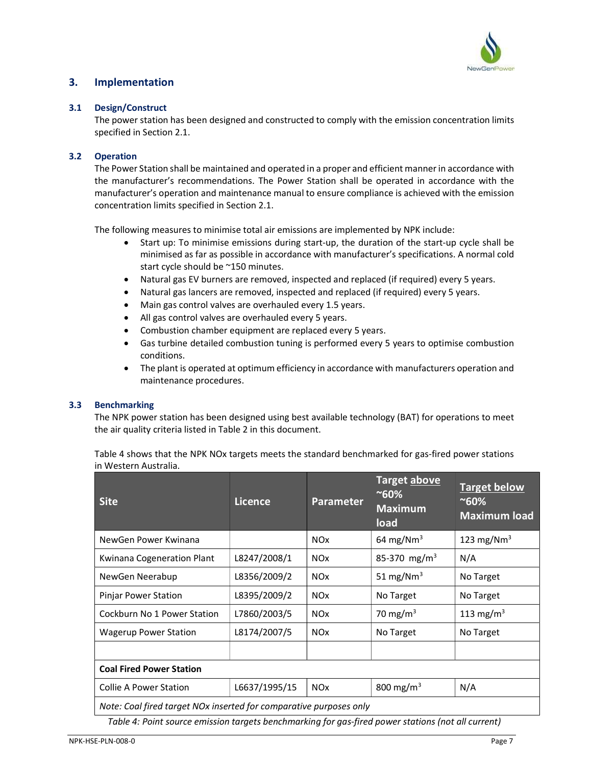

# 3. Implementation

#### 3.1 Design/Construct

The power station has been designed and constructed to comply with the emission concentration limits specified in Section 2.1.

#### 3.2 Operation

The Power Station shall be maintained and operated in a proper and efficient manner in accordance with the manufacturer's recommendations. The Power Station shall be operated in accordance with the manufacturer's operation and maintenance manual to ensure compliance is achieved with the emission concentration limits specified in Section 2.1.

The following measures to minimise total air emissions are implemented by NPK include:

- Start up: To minimise emissions during start-up, the duration of the start-up cycle shall be minimised as far as possible in accordance with manufacturer's specifications. A normal cold start cycle should be ~150 minutes.
- Natural gas EV burners are removed, inspected and replaced (if required) every 5 years.
- Natural gas lancers are removed, inspected and replaced (if required) every 5 years.
- Main gas control valves are overhauled every 1.5 years.
- All gas control valves are overhauled every 5 years.
- Combustion chamber equipment are replaced every 5 years.
- Gas turbine detailed combustion tuning is performed every 5 years to optimise combustion conditions.
- The plant is operated at optimum efficiency in accordance with manufacturers operation and maintenance procedures.

#### 3.3 Benchmarking

The NPK power station has been designed using best available technology (BAT) for operations to meet the air quality criteria listed in Table 2 in this document.

Table 4 shows that the NPK NOx targets meets the standard benchmarked for gas-fired power stations in Western Australia.

| <b>Site</b>                                                        | Licence       | <b>Parameter</b>      | Target above<br>$~80\%$<br><b>Maximum</b><br>load | <b>Target below</b><br>$~80\%$<br><b>Maximum load</b> |  |
|--------------------------------------------------------------------|---------------|-----------------------|---------------------------------------------------|-------------------------------------------------------|--|
| NewGen Power Kwinana                                               |               | <b>NO<sub>x</sub></b> | 64 mg/Nm <sup>3</sup>                             | 123 mg/Nm <sup>3</sup>                                |  |
| Kwinana Cogeneration Plant                                         | L8247/2008/1  | <b>NO<sub>x</sub></b> | 85-370 mg/m <sup>3</sup>                          | N/A                                                   |  |
| NewGen Neerabup                                                    | L8356/2009/2  | <b>NO<sub>x</sub></b> | 51 mg/Nm <sup>3</sup>                             | No Target                                             |  |
| Pinjar Power Station                                               | L8395/2009/2  | <b>NO<sub>x</sub></b> | No Target                                         | No Target                                             |  |
| Cockburn No 1 Power Station                                        | L7860/2003/5  | <b>NO<sub>x</sub></b> | 70 mg/m $3$                                       | 113 mg/m <sup>3</sup>                                 |  |
| <b>Wagerup Power Station</b>                                       | L8174/2007/5  | <b>NO<sub>x</sub></b> | No Target                                         | No Target                                             |  |
|                                                                    |               |                       |                                                   |                                                       |  |
| <b>Coal Fired Power Station</b>                                    |               |                       |                                                   |                                                       |  |
| <b>Collie A Power Station</b>                                      | L6637/1995/15 | <b>NO<sub>x</sub></b> | 800 mg/m <sup>3</sup>                             | N/A                                                   |  |
| Note: Coal fired target NOx inserted for comparative purposes only |               |                       |                                                   |                                                       |  |

Table 4: Point source emission targets benchmarking for gas-fired power stations (not all current)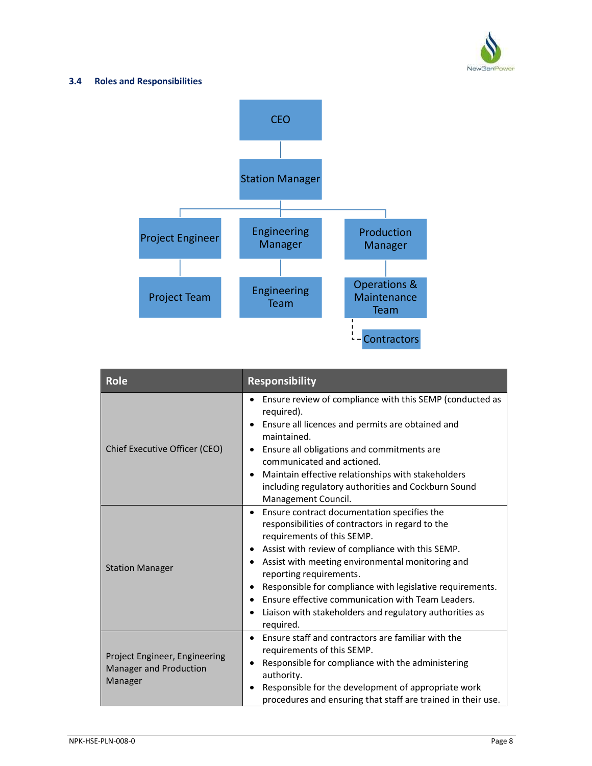

### 3.4 Roles and Responsibilities



| <b>Role</b>                                                        | <b>Responsibility</b>                                                                                                                                                                                                                                                                                                                                                                                                                                                                             |  |  |
|--------------------------------------------------------------------|---------------------------------------------------------------------------------------------------------------------------------------------------------------------------------------------------------------------------------------------------------------------------------------------------------------------------------------------------------------------------------------------------------------------------------------------------------------------------------------------------|--|--|
| Chief Executive Officer (CEO)                                      | Ensure review of compliance with this SEMP (conducted as<br>required).<br>Ensure all licences and permits are obtained and<br>maintained.<br>Ensure all obligations and commitments are<br>communicated and actioned.<br>Maintain effective relationships with stakeholders<br>including regulatory authorities and Cockburn Sound<br>Management Council.                                                                                                                                         |  |  |
| <b>Station Manager</b>                                             | Ensure contract documentation specifies the<br>$\bullet$<br>responsibilities of contractors in regard to the<br>requirements of this SEMP.<br>Assist with review of compliance with this SEMP.<br>$\bullet$<br>Assist with meeting environmental monitoring and<br>reporting requirements.<br>Responsible for compliance with legislative requirements.<br>Ensure effective communication with Team Leaders.<br>$\bullet$<br>Liaison with stakeholders and regulatory authorities as<br>required. |  |  |
| Project Engineer, Engineering<br>Manager and Production<br>Manager | Ensure staff and contractors are familiar with the<br>$\bullet$<br>requirements of this SEMP.<br>Responsible for compliance with the administering<br>authority.<br>Responsible for the development of appropriate work<br>procedures and ensuring that staff are trained in their use.                                                                                                                                                                                                           |  |  |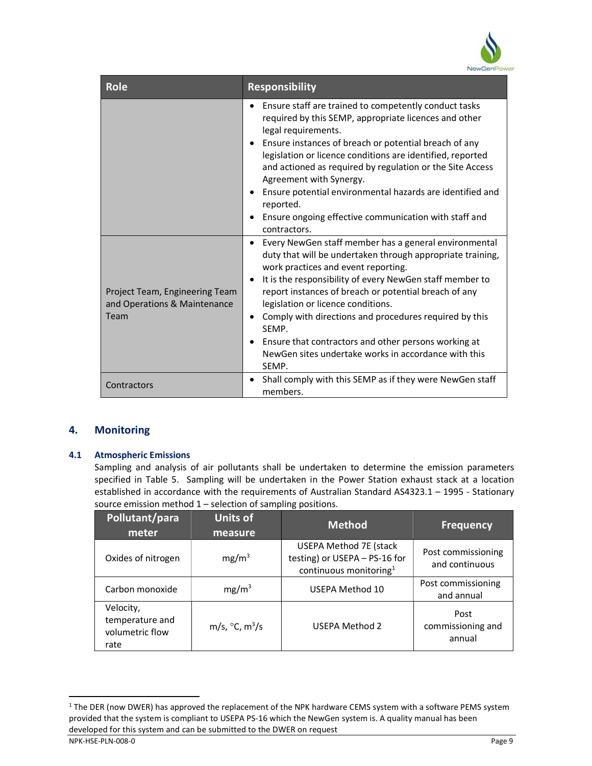

| <b>Role</b>                                                            | <b>Responsibility</b>                                                                                                                                                                                                                                                                                                                                                                                                                                                                                                          |
|------------------------------------------------------------------------|--------------------------------------------------------------------------------------------------------------------------------------------------------------------------------------------------------------------------------------------------------------------------------------------------------------------------------------------------------------------------------------------------------------------------------------------------------------------------------------------------------------------------------|
|                                                                        | Ensure staff are trained to competently conduct tasks<br>required by this SEMP, appropriate licences and other<br>legal requirements.<br>Ensure instances of breach or potential breach of any<br>legislation or licence conditions are identified, reported<br>and actioned as required by regulation or the Site Access<br>Agreement with Synergy.<br>Ensure potential environmental hazards are identified and<br>reported.<br>Ensure ongoing effective communication with staff and<br>contractors.                        |
| Project Team, Engineering Team<br>and Operations & Maintenance<br>Team | Every NewGen staff member has a general environmental<br>duty that will be undertaken through appropriate training,<br>work practices and event reporting.<br>It is the responsibility of every NewGen staff member to<br>report instances of breach or potential breach of any<br>legislation or licence conditions.<br>Comply with directions and procedures required by this<br>$\bullet$<br>SEMP.<br>Ensure that contractors and other persons working at<br>NewGen sites undertake works in accordance with this<br>SEMP. |
| Contractors                                                            | Shall comply with this SEMP as if they were NewGen staff<br>members.                                                                                                                                                                                                                                                                                                                                                                                                                                                           |

# 4. Monitoring

### 4.1 Atmospheric Emissions

Sampling and analysis of air pollutants shall be undertaken to determine the emission parameters specified in Table 5. Sampling will be undertaken in the Power Station exhaust stack at a location established in accordance with the requirements of Australian Standard AS4323.1 – 1995 - Stationary source emission method 1 – selection of sampling positions.

| Pollutant/para<br>meter                                 | <b>Units of</b><br>measure       | <b>Method</b>                                                                               | <b>Frequency</b>                     |
|---------------------------------------------------------|----------------------------------|---------------------------------------------------------------------------------------------|--------------------------------------|
| Oxides of nitrogen                                      | mg/m <sup>3</sup>                | <b>USEPA Method 7E (stack</b><br>testing) or USEPA - PS-16 for<br>continuous monitoring $1$ | Post commissioning<br>and continuous |
| Carbon monoxide                                         | mg/m <sup>3</sup>                | USEPA Method 10                                                                             | Post commissioning<br>and annual     |
| Velocity,<br>temperature and<br>volumetric flow<br>rate | m/s, $\degree$ C, m $\degree$ /s | <b>USEPA Method 2</b>                                                                       | Post<br>commissioning and<br>annual  |

l

<sup>&</sup>lt;sup>1</sup> The DER (now DWER) has approved the replacement of the NPK hardware CEMS system with a software PEMS system provided that the system is compliant to USEPA PS-16 which the NewGen system is. A quality manual has been developed for this system and can be submitted to the DWER on request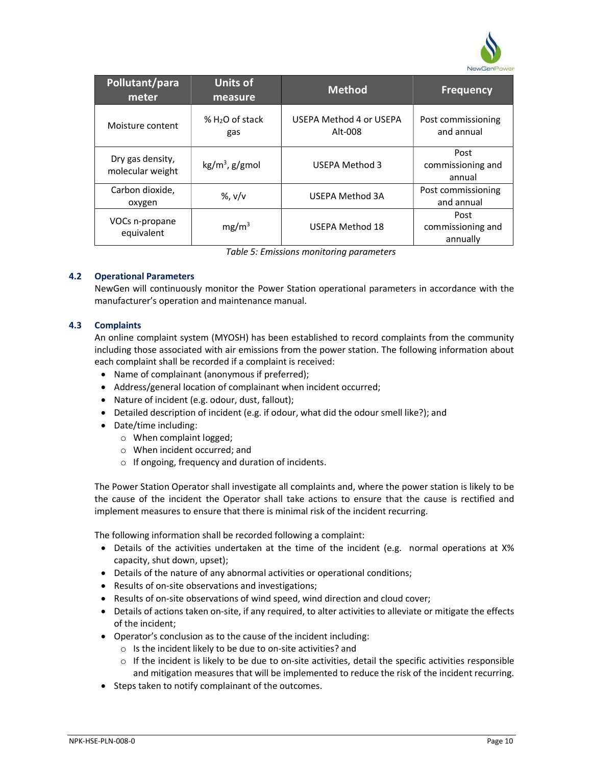

| Pollutant/para<br>meter              | <b>Units of</b><br>measure | <b>Method</b>                      | <b>Frequency</b>                      |
|--------------------------------------|----------------------------|------------------------------------|---------------------------------------|
| Moisture content                     | $% H2O$ of stack<br>gas    | USEPA Method 4 or USEPA<br>Alt-008 | Post commissioning<br>and annual      |
| Dry gas density,<br>molecular weight | $kg/m3$ , g/gmol           | <b>USEPA Method 3</b>              | Post<br>commissioning and<br>annual   |
| Carbon dioxide,<br>oxygen            | %, $v/v$                   | <b>USEPA Method 3A</b>             | Post commissioning<br>and annual      |
| VOCs n-propane<br>equivalent         | mg/m <sup>3</sup>          | <b>USEPA Method 18</b>             | Post<br>commissioning and<br>annually |

Table 5: Emissions monitoring parameters

### 4.2 Operational Parameters

NewGen will continuously monitor the Power Station operational parameters in accordance with the manufacturer's operation and maintenance manual.

### 4.3 Complaints

An online complaint system (MYOSH) has been established to record complaints from the community including those associated with air emissions from the power station. The following information about each complaint shall be recorded if a complaint is received:

- Name of complainant (anonymous if preferred);
- Address/general location of complainant when incident occurred;
- Nature of incident (e.g. odour, dust, fallout);
- Detailed description of incident (e.g. if odour, what did the odour smell like?); and
- Date/time including:
	- o When complaint logged;
	- o When incident occurred; and
	- o If ongoing, frequency and duration of incidents.

The Power Station Operator shall investigate all complaints and, where the power station is likely to be the cause of the incident the Operator shall take actions to ensure that the cause is rectified and implement measures to ensure that there is minimal risk of the incident recurring.

The following information shall be recorded following a complaint:

- Details of the activities undertaken at the time of the incident (e.g. normal operations at X% capacity, shut down, upset);
- Details of the nature of any abnormal activities or operational conditions;
- Results of on-site observations and investigations;
- Results of on-site observations of wind speed, wind direction and cloud cover;
- Details of actions taken on-site, if any required, to alter activities to alleviate or mitigate the effects of the incident;
- Operator's conclusion as to the cause of the incident including:
	- o Is the incident likely to be due to on-site activities? and
	- $\circ$  If the incident is likely to be due to on-site activities, detail the specific activities responsible and mitigation measures that will be implemented to reduce the risk of the incident recurring.
- Steps taken to notify complainant of the outcomes.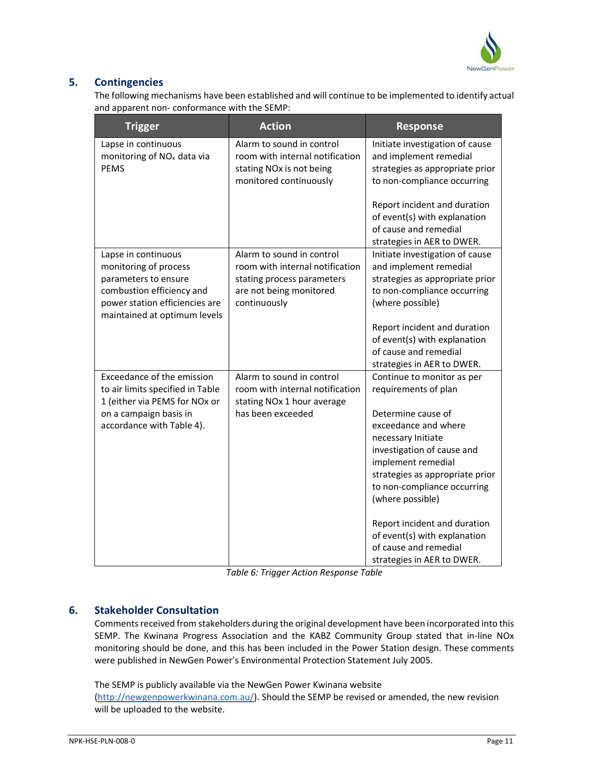

# 5. Contingencies

The following mechanisms have been established and will continue to be implemented to identify actual and apparent non- conformance with the SEMP:

| <b>Trigger</b>                                                                                                                                                      | <b>Action</b>                                                                                                                         | <b>Response</b>                                                                                                                                                                                                 |
|---------------------------------------------------------------------------------------------------------------------------------------------------------------------|---------------------------------------------------------------------------------------------------------------------------------------|-----------------------------------------------------------------------------------------------------------------------------------------------------------------------------------------------------------------|
| Lapse in continuous<br>monitoring of NO <sub>x</sub> data via<br><b>PEMS</b>                                                                                        | Alarm to sound in control<br>room with internal notification<br>stating NOx is not being<br>monitored continuously                    | Initiate investigation of cause<br>and implement remedial<br>strategies as appropriate prior<br>to non-compliance occurring                                                                                     |
|                                                                                                                                                                     |                                                                                                                                       | Report incident and duration<br>of event(s) with explanation<br>of cause and remedial<br>strategies in AER to DWER.                                                                                             |
| Lapse in continuous<br>monitoring of process<br>parameters to ensure<br>combustion efficiency and<br>power station efficiencies are<br>maintained at optimum levels | Alarm to sound in control<br>room with internal notification<br>stating process parameters<br>are not being monitored<br>continuously | Initiate investigation of cause<br>and implement remedial<br>strategies as appropriate prior<br>to non-compliance occurring<br>(where possible)<br>Report incident and duration<br>of event(s) with explanation |
|                                                                                                                                                                     |                                                                                                                                       | of cause and remedial<br>strategies in AER to DWER.                                                                                                                                                             |
| Exceedance of the emission<br>to air limits specified in Table<br>1 (either via PEMS for NOx or                                                                     | Alarm to sound in control<br>room with internal notification<br>stating NOx 1 hour average                                            | Continue to monitor as per<br>requirements of plan                                                                                                                                                              |
| on a campaign basis in<br>accordance with Table 4).                                                                                                                 | has been exceeded                                                                                                                     | Determine cause of<br>exceedance and where<br>necessary Initiate<br>investigation of cause and<br>implement remedial<br>strategies as appropriate prior<br>to non-compliance occurring<br>(where possible)      |
|                                                                                                                                                                     |                                                                                                                                       | Report incident and duration<br>of event(s) with explanation<br>of cause and remedial<br>strategies in AER to DWER.                                                                                             |

Table 6: Trigger Action Response Table

# 6. Stakeholder Consultation

Comments received from stakeholders during the original development have been incorporated into this SEMP. The Kwinana Progress Association and the KABZ Community Group stated that in-line NOx monitoring should be done, and this has been included in the Power Station design. These comments were published in NewGen Power's Environmental Protection Statement July 2005.

The SEMP is publicly available via the NewGen Power Kwinana website (http://newgenpowerkwinana.com.au/). Should the SEMP be revised or amended, the new revision will be uploaded to the website.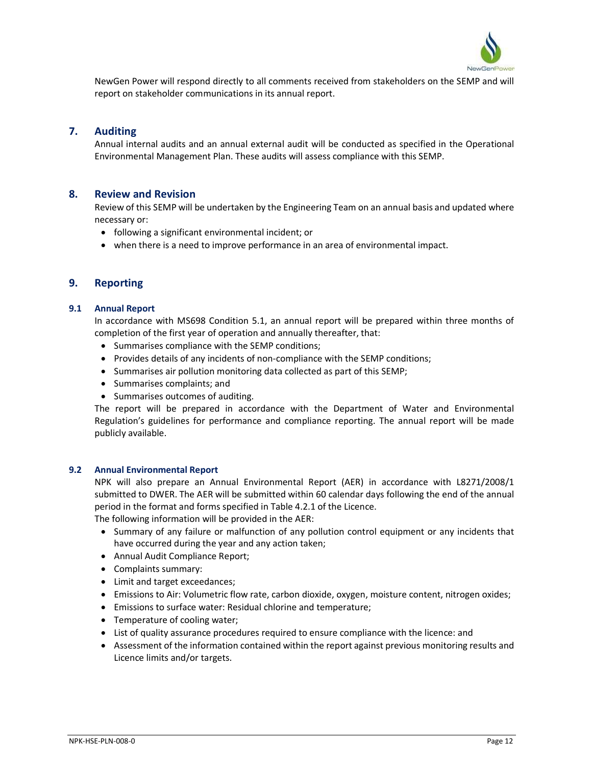

NewGen Power will respond directly to all comments received from stakeholders on the SEMP and will report on stakeholder communications in its annual report.

# 7. Auditing

Annual internal audits and an annual external audit will be conducted as specified in the Operational Environmental Management Plan. These audits will assess compliance with this SEMP.

### 8. Review and Revision

Review of this SEMP will be undertaken by the Engineering Team on an annual basis and updated where necessary or:

- following a significant environmental incident; or
- when there is a need to improve performance in an area of environmental impact.

### 9. Reporting

#### 9.1 Annual Report

In accordance with MS698 Condition 5.1, an annual report will be prepared within three months of completion of the first year of operation and annually thereafter, that:

- Summarises compliance with the SEMP conditions;
- Provides details of any incidents of non-compliance with the SEMP conditions;
- Summarises air pollution monitoring data collected as part of this SEMP;
- Summarises complaints; and
- Summarises outcomes of auditing.

The report will be prepared in accordance with the Department of Water and Environmental Regulation's guidelines for performance and compliance reporting. The annual report will be made publicly available.

#### 9.2 Annual Environmental Report

NPK will also prepare an Annual Environmental Report (AER) in accordance with L8271/2008/1 submitted to DWER. The AER will be submitted within 60 calendar days following the end of the annual period in the format and forms specified in Table 4.2.1 of the Licence.

The following information will be provided in the AER:

- Summary of any failure or malfunction of any pollution control equipment or any incidents that have occurred during the year and any action taken;
- Annual Audit Compliance Report;
- Complaints summary:
- Limit and target exceedances;
- Emissions to Air: Volumetric flow rate, carbon dioxide, oxygen, moisture content, nitrogen oxides;
- Emissions to surface water: Residual chlorine and temperature;
- Temperature of cooling water;
- List of quality assurance procedures required to ensure compliance with the licence: and
- Assessment of the information contained within the report against previous monitoring results and Licence limits and/or targets.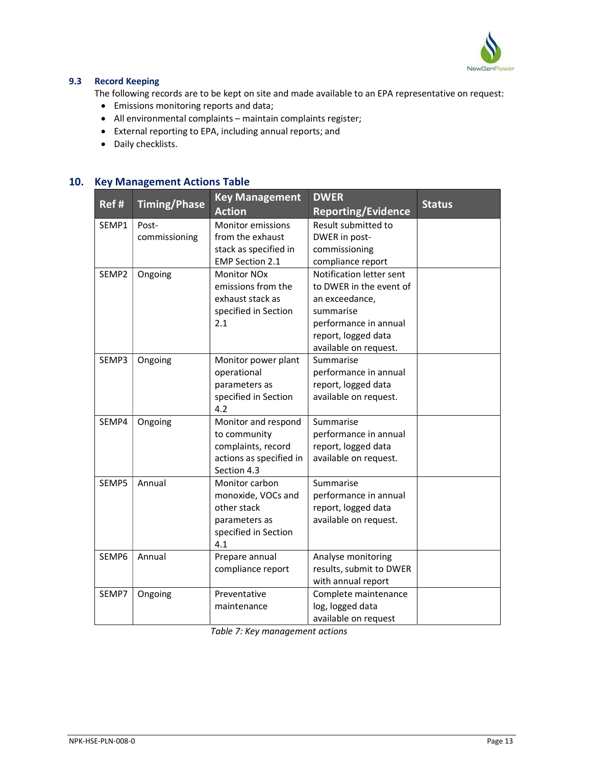

## 9.3 Record Keeping

The following records are to be kept on site and made available to an EPA representative on request:

- Emissions monitoring reports and data;
- All environmental complaints maintain complaints register;
- External reporting to EPA, including annual reports; and
- Daily checklists.

# 10. Key Management Actions Table

| <b>Timing/Phase</b><br>Ref#<br><b>Status</b><br><b>Action</b><br><b>Reporting/Evidence</b> |  |
|--------------------------------------------------------------------------------------------|--|
| Result submitted to<br>SEMP1<br>Post-<br><b>Monitor emissions</b>                          |  |
| from the exhaust<br>DWER in post-<br>commissioning                                         |  |
| stack as specified in<br>commissioning                                                     |  |
| <b>EMP Section 2.1</b><br>compliance report                                                |  |
| Notification letter sent<br><b>Monitor NOx</b><br>SEMP2<br>Ongoing                         |  |
| emissions from the<br>to DWER in the event of                                              |  |
| exhaust stack as<br>an exceedance,                                                         |  |
| specified in Section<br>summarise                                                          |  |
| 2.1<br>performance in annual                                                               |  |
| report, logged data                                                                        |  |
| available on request.                                                                      |  |
| SEMP3<br>Ongoing<br>Monitor power plant<br>Summarise                                       |  |
| operational<br>performance in annual                                                       |  |
| report, logged data<br>parameters as                                                       |  |
| specified in Section<br>available on request.                                              |  |
| 4.2                                                                                        |  |
| Summarise<br>SEMP4<br>Ongoing<br>Monitor and respond                                       |  |
| to community<br>performance in annual                                                      |  |
| complaints, record<br>report, logged data                                                  |  |
| actions as specified in<br>available on request.                                           |  |
| Section 4.3                                                                                |  |
| SEMP5<br>Annual<br>Monitor carbon<br>Summarise                                             |  |
| performance in annual<br>monoxide, VOCs and                                                |  |
| other stack<br>report, logged data                                                         |  |
| available on request.<br>parameters as                                                     |  |
| specified in Section<br>4.1                                                                |  |
| SEMP6<br>Annual                                                                            |  |
| Prepare annual<br>Analyse monitoring<br>compliance report<br>results, submit to DWER       |  |
| with annual report                                                                         |  |
| Complete maintenance<br>Preventative<br>SEMP7<br>Ongoing                                   |  |
| log, logged data<br>maintenance                                                            |  |
| available on request                                                                       |  |

Table 7: Key management actions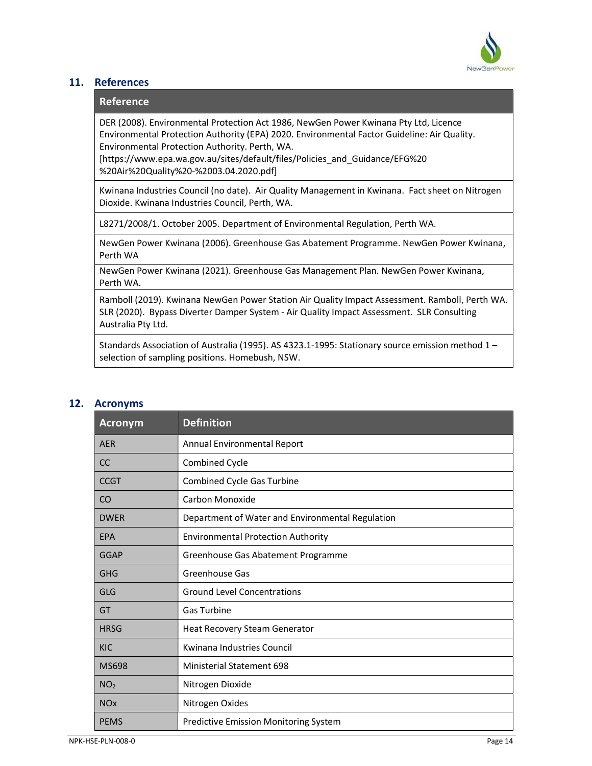

## 11. References

# Reference

DER (2008). Environmental Protection Act 1986, NewGen Power Kwinana Pty Ltd, Licence Environmental Protection Authority (EPA) 2020. Environmental Factor Guideline: Air Quality. Environmental Protection Authority. Perth, WA.

[https://www.epa.wa.gov.au/sites/default/files/Policies\_and\_Guidance/EFG%20 %20Air%20Quality%20-%2003.04.2020.pdf]

Kwinana Industries Council (no date). Air Quality Management in Kwinana. Fact sheet on Nitrogen Dioxide. Kwinana Industries Council, Perth, WA.

L8271/2008/1. October 2005. Department of Environmental Regulation, Perth WA.

NewGen Power Kwinana (2006). Greenhouse Gas Abatement Programme. NewGen Power Kwinana, Perth WA

NewGen Power Kwinana (2021). Greenhouse Gas Management Plan. NewGen Power Kwinana, Perth WA.

Ramboll (2019). Kwinana NewGen Power Station Air Quality Impact Assessment. Ramboll, Perth WA. SLR (2020). Bypass Diverter Damper System - Air Quality Impact Assessment. SLR Consulting Australia Pty Ltd.

Standards Association of Australia (1995). AS 4323.1-1995: Stationary source emission method 1 – selection of sampling positions. Homebush, NSW.

# 12. Acronyms

| <b>Acronym</b>        | <b>Definition</b>                                |
|-----------------------|--------------------------------------------------|
| <b>AER</b>            | Annual Environmental Report                      |
| <sub>CC</sub>         | Combined Cycle                                   |
| <b>CCGT</b>           | <b>Combined Cycle Gas Turbine</b>                |
| <sub>CO</sub>         | Carbon Monoxide                                  |
| <b>DWER</b>           | Department of Water and Environmental Regulation |
| <b>EPA</b>            | <b>Environmental Protection Authority</b>        |
| GGAP                  | Greenhouse Gas Abatement Programme               |
| <b>GHG</b>            | Greenhouse Gas                                   |
| <b>GLG</b>            | <b>Ground Level Concentrations</b>               |
| GT                    | <b>Gas Turbine</b>                               |
| <b>HRSG</b>           | Heat Recovery Steam Generator                    |
| <b>KIC</b>            | Kwinana Industries Council                       |
| <b>MS698</b>          | <b>Ministerial Statement 698</b>                 |
| NO <sub>2</sub>       | Nitrogen Dioxide                                 |
| <b>NO<sub>x</sub></b> | Nitrogen Oxides                                  |
| <b>PEMS</b>           | <b>Predictive Emission Monitoring System</b>     |